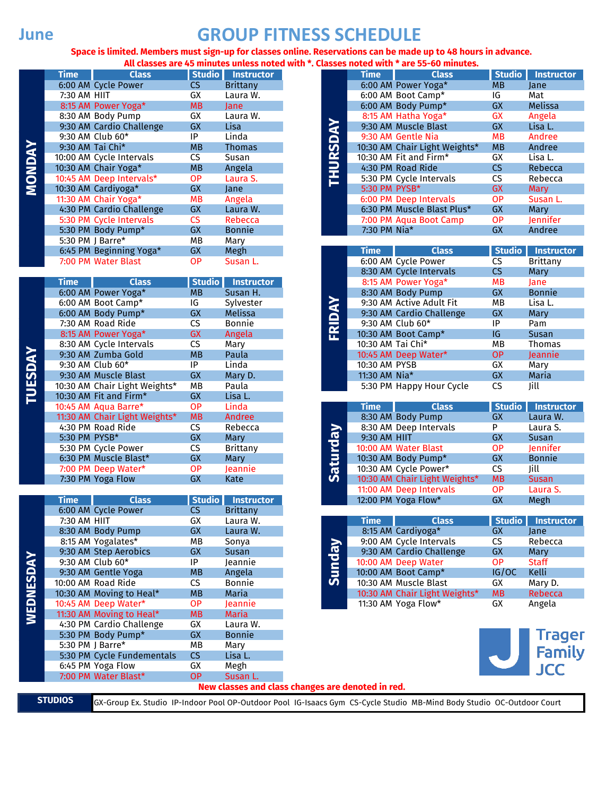**MONDAY**

**TUESDAY**

**WEDNESDAY**

# **June <b>GROUP FITNESS SCHEDULE**

#### **Space is limited. Members must sign-up for classes online. Reservations can be made up to 48 hours in advance.** All classes are 45 minutes unless noted with \*. Classes

| Time         | <b>Class</b>             | Studio    | <b>Instructor</b> |  |                        | <b>Time</b>   | <b>Class</b>                  | <b>Studio</b> | Instr          |  |
|--------------|--------------------------|-----------|-------------------|--|------------------------|---------------|-------------------------------|---------------|----------------|--|
|              | 6:00 AM Cycle Power      | CS.       | <b>Brittany</b>   |  |                        |               | 6:00 AM Power Yoga*           | <b>MB</b>     | Jane           |  |
| 7:30 AM HIIT |                          | GХ        | Laura W.          |  |                        |               | 6:00 AM Boot Camp*            | IG            | Mat            |  |
|              | 8:15 AM Power Yoga*      | <b>MB</b> | Jane              |  |                        |               | 6:00 AM Body Pump*            | <b>GX</b>     | <b>Meliss</b>  |  |
|              | 8:30 AM Body Pump        | GX        | Laura W.          |  |                        |               | 8:15 AM Hatha Yoga*           | GХ            | Angela         |  |
|              | 9:30 AM Cardio Challenge | <b>GX</b> | Lisa              |  | $\boldsymbol{\lambda}$ |               | 9:30 AM Muscle Blast          | <b>GX</b>     | Lisa L.        |  |
|              | 9:30 AM Club 60*         | IP        | Linda             |  | $\blacksquare$         |               | 9:30 AM Gentle Nia            | MВ            | Andre          |  |
|              | 9:30 AM Tai Chi*         | <b>MB</b> | <b>Thomas</b>     |  | RS <sub>I</sub>        |               | 10:30 AM Chair Light Weights* | <b>MB</b>     | Andre          |  |
|              | 10:00 AM Cycle Intervals | <b>CS</b> | Susan             |  |                        |               | 10:30 AM Fit and Firm*        | <b>GX</b>     | Lisa L.        |  |
|              | 10:30 AM Chair Yoga*     | <b>MB</b> | Angela            |  | 5                      |               | 4:30 PM Road Ride             | CS            | Rebec          |  |
|              | 10:45 AM Deep Intervals* | ОP        | Laura S.          |  | z                      |               | 5:30 PM Cycle Intervals       | <b>CS</b>     | Rebec          |  |
|              | 10:30 AM Cardiyoga*      | <b>GX</b> | Jane              |  |                        | 5:30 PM PYSB* |                               | <b>GX</b>     | <b>Mary</b>    |  |
|              | 11:30 AM Chair Yoga*     | <b>MB</b> | Angela            |  |                        |               | 6:00 PM Deep Intervals        | <b>OP</b>     | <b>Susan</b>   |  |
|              | 4:30 PM Cardio Challenge | <b>GX</b> | Laura W.          |  |                        |               | 6:30 PM Muscle Blast Plus*    | <b>GX</b>     | Mary           |  |
|              | 5:30 PM Cycle Intervals  | <b>CS</b> | Rebecca           |  |                        |               | 7:00 PM Aqua Boot Camp        | <b>OP</b>     | Jennif         |  |
|              | 5:30 PM Body Pump*       | <b>GX</b> | <b>Bonnie</b>     |  |                        | 7:30 PM Nia*  |                               | <b>GX</b>     | Andre          |  |
|              | 5:30 PM   Barre*         | MВ        | Mary              |  |                        |               |                               |               |                |  |
|              | 6:45 PM Beginning Yoga*  | <b>GX</b> | Megh              |  |                        | <b>Time</b>   | <b>Class</b>                  | <b>Studio</b> | Instr          |  |
|              | 7:00 PM Water Blast      | <b>OP</b> | Susan L.          |  |                        |               | 6:00 AM Cycle Power           | CS            | <b>Brittal</b> |  |

| <b>Time</b>                   | <b>Class</b> | Studio    | <b>Instructor</b> |
|-------------------------------|--------------|-----------|-------------------|
| 6:00 AM Power Yoga*           |              | MB.       | Susan H.          |
| 6:00 AM Boot Camp*            |              | IG        | Sylvester         |
| 6:00 AM Body Pump*            |              | <b>GX</b> | Melissa           |
| 7:30 AM Road Ride             |              | CS.       | <b>Bonnie</b>     |
| 8:15 AM Power Yoga*           |              | <b>GX</b> | Angela            |
| 8:30 AM Cycle Intervals       |              | <b>CS</b> | Mary              |
| 9:30 AM Zumba Gold            |              | <b>MB</b> | Paula             |
| 9:30 AM Club 60*              |              | ΙP        | Linda             |
| 9:30 AM Muscle Blast          |              | <b>GX</b> | Mary D.           |
| 10:30 AM Chair Light Weights* |              | MВ        | Paula             |
| 10:30 AM Fit and Firm*        |              | <b>GX</b> | Lisa L.           |
| 10:45 AM Agua Barre*          |              | <b>OP</b> | Linda             |
| 11:30 AM Chair Light Weights* |              | <b>MB</b> | Andree            |
| 4:30 PM Road Ride             |              | <b>CS</b> | Rebecca           |
| 5:30 PM PYSB*                 |              | <b>GX</b> | Mary              |
| 5:30 PM Cycle Power           |              | <b>CS</b> | Brittany          |
| 6:30 PM Muscle Blast*         |              | <b>GX</b> | <b>Mary</b>       |
| 7:00 PM Deep Water*           |              | 0P        | Jeannie           |
| 7:30 PM Yoga Flow             |              | <b>GX</b> | Kate              |

### **Time Class Studio Instructor 6:00 AM Cycle Power CS Brittany** 6:00 AM Cycle Power 8:30 AM Body Pump GX Laura W.<br>8:15 AM Yogalates\* MB Sonya 8:15 AM Yogalates\* MB Sonya<br>9:30 AM Step Aerobics GX Susan 9:30 AM Step Aerobics 9:30 AM Club 60\* IP Jeannie 9:30 AM Gentle Yoga MB Angela 10:00 AM Road Ride CS Bonnie<br>10:30 AM Moving to Heal\* MB Maria 10:30 AM Moving to Heal\* MB Maria 10:45 AM Deep Water\* OP Jeannie<br>11:30 AM Moving to Heal\* MB Maria 11:30 AM Moving to Heal\* MB Maria 4:30 PM Cardio Challenge GX Laura W.<br>5:30 PM Body Pump\* GX Bonnie 5:30 PM Body Pump\* GX Bonn<br>5:30 PM J Barre\* MB Mary 5:30 PM J Barre\* 5:30 PM Cycle Fundementals CS Lisa L. 6:45 PM Yoga Flow GX Megh 7:00 PM Water Blast\* OP Susan L.

|               |                                                 |                            |                   |  |               |                   | All classes are 45 minutes unless noted with *. Classes noted with * are 55-60 minutes. |                        |                   |
|---------------|-------------------------------------------------|----------------------------|-------------------|--|---------------|-------------------|-----------------------------------------------------------------------------------------|------------------------|-------------------|
| <b>Time</b>   | <b>Class</b>                                    | <b>Studio</b>              | <b>Instructor</b> |  |               | <b>Time</b>       | <b>Class</b>                                                                            | <b>Studio</b>          | <b>Instructor</b> |
|               | 6:00 AM Cycle Power                             | CS                         | <b>Brittany</b>   |  |               |                   | 6:00 AM Power Yoga*                                                                     | <b>MB</b>              | Jane              |
| 7:30 AM HIIT  |                                                 | GX                         | Laura W.          |  |               |                   | 6:00 AM Boot Camp*                                                                      | IG                     | Mat               |
|               | 8:15 AM Power Yoga*                             | <b>MB</b>                  | Jane              |  |               |                   | 6:00 AM Body Pump*                                                                      | <b>GX</b>              | Melissa           |
|               | 8:30 AM Body Pump                               | GX                         | Laura W.          |  |               |                   | 8:15 AM Hatha Yoga*                                                                     | <b>GX</b>              | Angela            |
|               | 9:30 AM Cardio Challenge                        | <b>GX</b>                  | Lisa              |  |               |                   | 9:30 AM Muscle Blast                                                                    | <b>GX</b>              | Lisa L.           |
|               | 9:30 AM Club 60*                                | IP                         | Linda             |  | THURSDAY      |                   | 9:30 AM Gentle Nia                                                                      | <b>MB</b>              | Andree            |
|               | 9:30 AM Tai Chi*                                | <b>MB</b>                  | <b>Thomas</b>     |  |               |                   | 10:30 AM Chair Light Weights*                                                           | <b>MB</b>              | Andree            |
|               | 10:00 AM Cycle Intervals                        | $\overline{\text{CS}}$     | Susan             |  |               |                   | 10:30 AM Fit and Firm*                                                                  | GX                     | Lisa L.           |
|               | 10:30 AM Chair Yoga*                            | <b>MB</b>                  | Angela            |  |               |                   | 4:30 PM Road Ride                                                                       | CS                     | Rebecca           |
|               | 10:45 AM Deep Intervals*                        | <b>OP</b>                  | Laura S.          |  |               |                   | 5:30 PM Cycle Intervals                                                                 | <b>CS</b>              | Rebecca           |
|               | 10:30 AM Cardiyoga*                             | <b>GX</b>                  | Jane              |  |               | 5:30 PM PYSB*     |                                                                                         | <b>GX</b>              | Mary              |
|               | 11:30 AM Chair Yoga*                            | <b>MB</b>                  | Angela            |  |               |                   | 6:00 PM Deep Intervals                                                                  | OP                     | Susan L.          |
|               | 4:30 PM Cardio Challenge                        | <b>GX</b>                  | Laura W.          |  |               |                   | 6:30 PM Muscle Blast Plus*                                                              | <b>GX</b>              | Mary              |
|               | 5:30 PM Cycle Intervals                         | CS                         | Rebecca           |  |               |                   | 7:00 PM Aqua Boot Camp                                                                  | OP                     | Jennifer          |
|               | 5:30 PM Body Pump*                              | <b>GX</b><br><b>Bonnie</b> |                   |  |               | 7:30 PM Nia*      |                                                                                         | <b>GX</b>              | Andree            |
|               | 5:30 PM J Barre*                                | MB                         | Mary              |  |               |                   |                                                                                         |                        |                   |
|               | 6:45 PM Beginning Yoga*                         | <b>GX</b>                  | Megh              |  |               | <b>Time</b>       | <b>Class</b>                                                                            | <b>Studio</b>          | <b>Instructor</b> |
|               | 7:00 PM Water Blast                             | <b>OP</b>                  | Susan L.          |  |               |                   | 6:00 AM Cycle Power                                                                     | CS                     | <b>Brittany</b>   |
|               |                                                 |                            |                   |  |               |                   | 8:30 AM Cycle Intervals                                                                 | CS                     | Mary              |
| <b>Time</b>   | <b>Class</b>                                    | <b>Studio</b>              | <b>Instructor</b> |  |               |                   | 8:15 AM Power Yoga*                                                                     | <b>MB</b>              | Jane              |
|               | 6:00 AM Power Yoga*                             | <b>MB</b>                  | Susan H.          |  |               |                   | 8:30 AM Body Pump                                                                       | <b>GX</b>              | <b>Bonnie</b>     |
|               | 6:00 AM Boot Camp*                              | IG                         | Sylvester         |  |               |                   | 9:30 AM Active Adult Fit                                                                | MB                     | Lisa L.           |
|               | 6:00 AM Body Pump*                              | <b>GX</b>                  | Melissa           |  |               |                   | 9:30 AM Cardio Challenge                                                                | <b>GX</b>              | Mary              |
|               | 7:30 AM Road Ride                               | CS                         | <b>Bonnie</b>     |  |               |                   | 9:30 AM Club 60*                                                                        | $\sf IP$               | Pam               |
|               | 8:15 AM Power Yoga*                             | <b>GX</b>                  | Angela            |  | FRIDAY        |                   | 10:30 AM Boot Camp*                                                                     | IG                     | Susan             |
|               | 8:30 AM Cycle Intervals                         | $\overline{\text{CS}}$     | Mary              |  |               | 10:30 AM Tai Chi* |                                                                                         | MB                     | <b>Thomas</b>     |
|               | 9:30 AM Zumba Gold                              | <b>MB</b>                  | Paula             |  |               |                   | 10:45 AM Deep Water*                                                                    | <b>OP</b>              | Jeannie           |
|               | 9:30 AM Club 60*                                | IP                         | Linda             |  |               | 10:30 AM PYSB     |                                                                                         | GX                     | Mary              |
|               | 9:30 AM Muscle Blast                            | <b>GX</b>                  | Mary D.           |  |               | 11:30 AM Nia*     |                                                                                         | <b>GX</b>              | Maria             |
|               | 10:30 AM Chair Light Weights*                   | MB                         | Paula             |  |               |                   | 5:30 PM Happy Hour Cycle                                                                | $\overline{\text{CS}}$ | Jill              |
|               | 10:30 AM Fit and Firm*                          | <b>GX</b>                  | Lisa L.           |  |               |                   |                                                                                         |                        |                   |
|               | 10:45 AM Aqua Barre*                            | OP                         | Linda             |  |               | <b>Time</b>       | <b>Class</b>                                                                            | <b>Studio</b>          | <b>Instructor</b> |
|               | 11:30 AM Chair Light Weights*                   | <b>MB</b>                  | Andree            |  |               |                   | 8:30 AM Body Pump                                                                       | <b>GX</b>              | Laura W.          |
|               | 4:30 PM Road Ride                               | CS                         | Rebecca           |  |               |                   | 8:30 AM Deep Intervals                                                                  | P                      | Laura S.          |
| 5:30 PM PYSB* |                                                 | <b>GX</b>                  | Mary              |  | Saturday      | 9:30 AM HIIT      |                                                                                         | <b>GX</b>              | Susan             |
|               | 5:30 PM Cycle Power                             | CS                         | <b>Brittany</b>   |  |               |                   | 10:00 AM Water Blast                                                                    | <b>OP</b>              | Jennifer          |
|               | 6:30 PM Muscle Blast*                           | <b>GX</b>                  | Mary              |  |               |                   | 10:30 AM Body Pump*                                                                     | <b>GX</b>              | <b>Bonnie</b>     |
|               | 7:00 PM Deep Water*                             | <b>OP</b>                  | Jeannie           |  |               |                   | 10:30 AM Cycle Power*                                                                   | $\overline{\text{CS}}$ | Jill              |
|               | 7:30 PM Yoga Flow                               | <b>GX</b>                  | Kate              |  |               |                   | 10:30 AM Chair Light Weights*                                                           | <b>MB</b>              | <b>Susan</b>      |
|               |                                                 |                            |                   |  |               |                   | 11:00 AM Deep Intervals                                                                 | <b>OP</b>              | Laura S.          |
| <b>Time</b>   | <b>Class</b>                                    | <b>Studio</b>              | <b>Instructor</b> |  |               |                   | 12:00 PM Yoga Flow*                                                                     | <b>GX</b>              | Megh              |
|               | 6:00 AM Cycle Power                             | $\overline{\text{CS}}$     | <b>Brittany</b>   |  |               |                   |                                                                                         |                        |                   |
| 7:30 AM HIIT  |                                                 | GX                         | Laura W.          |  |               | <b>Time</b>       | <b>Class</b>                                                                            | <b>Studio</b>          | <b>Instructor</b> |
|               | 8:30 AM Body Pump                               | <b>GX</b>                  | Laura W.          |  |               |                   | 8:15 AM Cardiyoga*                                                                      | <b>GX</b>              | Jane              |
|               | 8:15 AM Yogalates*                              | МB                         | Sonya             |  |               |                   | 9:00 AM Cycle Intervals                                                                 | <b>CS</b>              | Rebecca           |
|               | 9:30 AM Step Aerobics                           | <b>GX</b>                  | Susan             |  |               |                   | 9:30 AM Cardio Challenge                                                                | <b>GX</b>              | Mary              |
|               | 9:30 AM Club 60*                                | IP                         | Jeannie           |  |               |                   | 10:00 AM Deep Water                                                                     | <b>OP</b>              | <b>Staff</b>      |
|               | 9:30 AM Gentle Yoga                             | <b>MB</b>                  | Angela            |  |               |                   | 10:00 AM Boot Camp*                                                                     | IG/OC                  | Kelli             |
|               | 10:00 AM Road Ride                              | <b>CS</b>                  | <b>Bonnie</b>     |  | <b>Vepuns</b> |                   | 10:30 AM Muscle Blast                                                                   | GX                     | Mary D.           |
|               | 10:30 AM Moving to Heal*                        | <b>MB</b>                  | Maria             |  |               |                   | 10:30 AM Chair Light Weights*                                                           | MB                     | Rebecca           |
|               | 10:45 AM Deep Water*                            | <b>OP</b>                  | Jeannie           |  |               |                   | 11:30 AM Yoga Flow*                                                                     | GX                     | Angela            |
|               | 11:30 AM Moving to Heal*                        | <b>MB</b>                  | Maria             |  |               |                   |                                                                                         |                        |                   |
|               | 4:30 PM Cardio Challenge                        | GX                         | Laura W.          |  |               |                   |                                                                                         |                        |                   |
|               | 5:30 PM Body Pump*                              | <b>GX</b>                  | <b>Bonnie</b>     |  |               |                   |                                                                                         |                        | Trager            |
|               | 5:30 PM J Barre*                                | MB                         | Mary              |  |               |                   |                                                                                         |                        |                   |
|               | 5:30 PM Cycle Fundementals                      | CS                         | Lisa L.           |  |               |                   |                                                                                         |                        | <b>Family</b>     |
|               | 6:45 PM Yoga Flow                               | GX                         | Megh              |  |               |                   |                                                                                         |                        | <b>JCC</b>        |
|               | $7.00 \text{ DM}$ $M \rightarrow \sim \text{D}$ |                            |                   |  |               |                   |                                                                                         |                        |                   |

**New classes and class changes are denoted in red.**

**STUDIOS** GX-Group Ex. Studio IP-Indoor Pool OP-Outdoor Pool IG-Isaacs Gym CS-Cycle Studio MB-Mind Body Studio OC-Outdoor Court